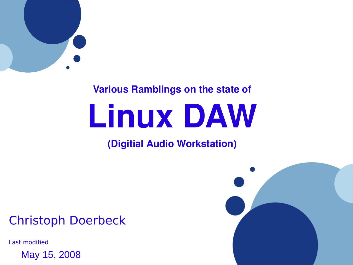

#### **Various Ramblings on the state of**

# **Linux DAW**

#### **(Digitial Audio Workstation)**

## Christoph Doerbeck

Last modified

May 15, 2008

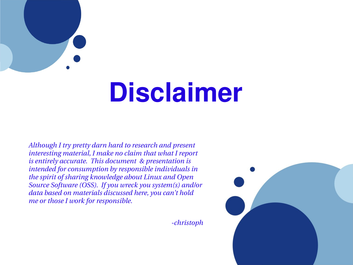

# **Disclaimer**

*Although I try pretty darn hard to research and present interesting material, I make no claim that what I report is entirely accurate. This document & presentation is intended for consumption by responsible individuals in the spirit of sharing knowledge about Linux and Open Source Software (OSS). If you wreck you system(s) and/or data based on materials discussed here, you can't hold me or those I work for responsible.*

*christoph*

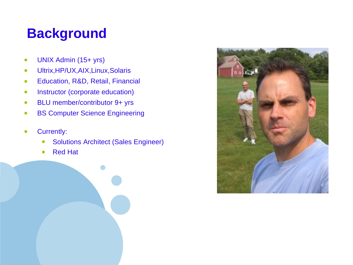# **Background**

- UNIX Admin (15+ yrs)
- Ultrix,HP/UX,AIX,Linux,Solaris
- Education, R&D, Retail, Financial
- Instructor (corporate education)
- BLU member/contributor 9+ yrs
- BS Computer Science Engineering
- Currently:
	- Solutions Architect (Sales Engineer)
	- Red Hat



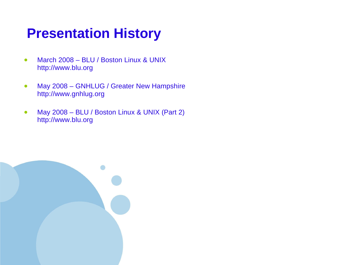# **Presentation History**

- March 2008 BLU / Boston Linux & UNIX http://www.blu.org
- May 2008 GNHLUG / Greater New Hampshire http://www.gnhlug.org
- May 2008 BLU / Boston Linux & UNIX (Part 2) http://www.blu.org

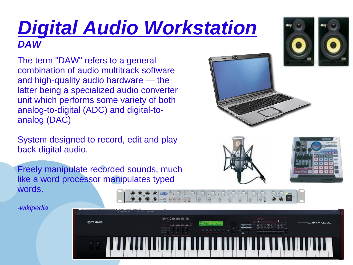# *Digital Audio Workstation DAW*

The term "DAW" refers to a general combination of audio multitrack software and high-quality audio hardware — the latter being a specialized audio converter unit which performs some variety of both analog-to-digital (ADC) and digital-toanalog (DAC)

System designed to record, edit and play back digital audio.

Freely manipulate recorded sounds, much like a word processor manipulates typed words.

*-wikipedia*









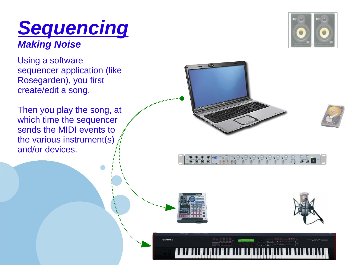## *Sequencing Making Noise*

Using a software sequencer application (like Rosegarden), you first create/edit a song.

Then you play the song, at which time the sequencer sends the MIDI events to the various instrument(s) and/or devices.

**CONSTRUCTION** 







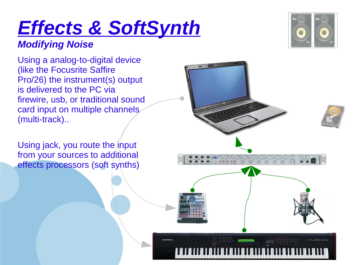# *Effects & SoftSynth*

#### *Modifying Noise*

Using a analog-to-digital device (like the Focusrite Saffire Pro/26) the instrument(s) output is delivered to the PC via firewire, usb, or traditional sound card input on multiple channels. (multi-track)..

Using jack, you route the input from your sources to additional effects processors (soft synths)



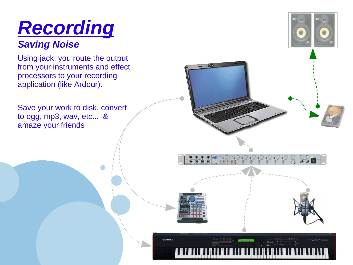# *Recording*

#### *Saving Noise*

Using jack, you route the output from your instruments and effect processors to your recording application (like Ardour).

Save your work to disk, convert to ogg, mp3, wav, etc... & amaze your friends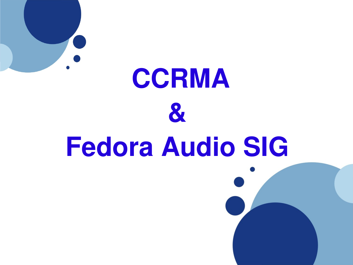

# **CCRMA & Fedora Audio SIG**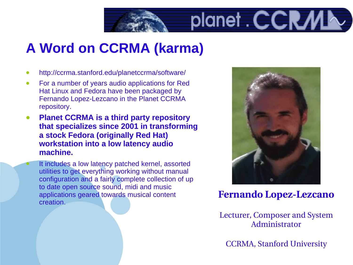

# **A Word on CCRMA (karma)**

- http://ccrma.stanford.edu/planetccrma/software/
- For a number of years audio applications for Red Hat Linux and Fedora have been packaged by Fernando Lopez-Lezcano in the Planet CCRMA repository.
- **Planet CCRMA is a third party repository that specializes since 2001 in transforming a stock Fedora (originally Red Hat) workstation into a low latency audio machine.**

It includes a low latency patched kernel, assorted utilities to get everything working without manual configuration and a fairly complete collection of up to date open source sound, midi and music applications geared towards musical content creation.



**Fernando Lopez-Lezcano** 

Lecturer, Composer and System Administrator

[CCRMA,](http://ccrma.stanford.edu/) [Stanford University](http://www.stanford.edu/)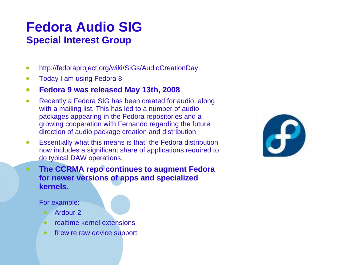### **Fedora Audio SIG Special Interest Group**

- http://fedoraproject.org/wiki/SIGs/AudioCreationDay
- Today I am using Fedora 8
- **Fedora 9 was released May 13th, 2008**
- Recently a Fedora SIG has been created for audio, along with a mailing list. This has led to a number of audio packages appearing in the Fedora repositories and a growing cooperation with Fernando regarding the future direction of audio package creation and distribution
- Essentially what this means is that the Fedora distribution now includes a significant share of applications required to do typical DAW operations.
- **The CCRMA repo continues to augment Fedora for newer versions of apps and specialized kernels.**

For example:

- Ardour 2
- realtime kernel extensions
- firewire raw device support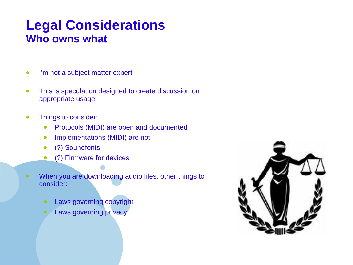### **Legal Considerations Who owns what**

- I'm not a subject matter expert
- This is speculation designed to create discussion on appropriate usage.
- Things to consider:
	- Protocols (MIDI) are open and documented
	- Implementations (MIDI) are not
	- (?) Soundfonts
	- (?) Firmware for devices
- When you are downloading audio files, other things to consider:
	- Laws governing copyright
	- Laws governing privacy

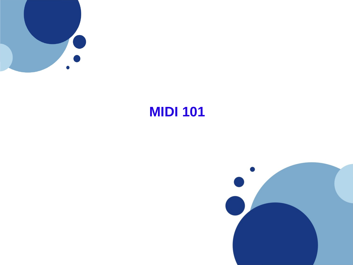

# **MIDI 101**

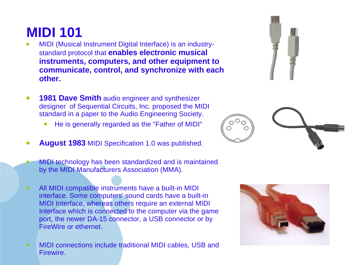# **MIDI 101**

- MIDI (Musical Instrument Digital Interface) is an industrystandard protocol that **enables electronic musical instruments, computers, and other equipment to communicate, control, and synchronize with each other.**
- **1981 Dave Smith** audio engineer and synthesizer designer of Sequential Circuits, Inc. proposed the MIDI standard in a paper to the Audio Engineering Society.
	- He is generally regarded as the "Father of MIDI"
- **August 1983** MIDI Specification 1.0 was published.
- MIDI technology has been standardized and is maintained by the MIDI Manufacturers Association (MMA).
- All MIDI compatible instruments have a built-in MIDI interface. Some computers' sound cards have a built-in MIDI Interface, whereas others require an external MIDI Interface which is connected to the computer via the game port, the newer DA-15 connector, a USB connector or by FireWire or ethernet.
- MIDI connections include traditional MIDI cables, USB and Firewire.





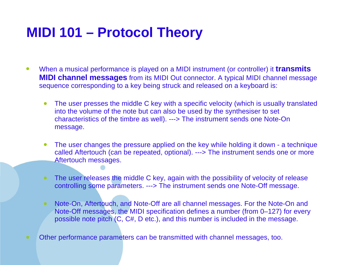# **MIDI 101 – Protocol Theory**

- When a musical performance is played on a MIDI instrument (or controller) it **transmits MIDI channel messages** from its MIDI Out connector. A typical MIDI channel message sequence corresponding to a key being struck and released on a keyboard is:
	- The user presses the middle C key with a specific velocity (which is usually translated into the volume of the note but can also be used by the synthesiser to set characteristics of the timbre as well). ---> The instrument sends one Note-On message.
	- The user changes the pressure applied on the key while holding it down a technique called Aftertouch (can be repeated, optional). ---> The instrument sends one or more Aftertouch messages.
	- The user releases the middle C key, again with the possibility of velocity of release controlling some parameters. ---> The instrument sends one Note-Off message.
	- Note-On, Aftertouch, and Note-Off are all channel messages. For the Note-On and Note-Off messages, the MIDI specification defines a number (from 0–127) for every possible note pitch (C, C#, D etc.), and this number is included in the message.
- Other performance parameters can be transmitted with channel messages, too.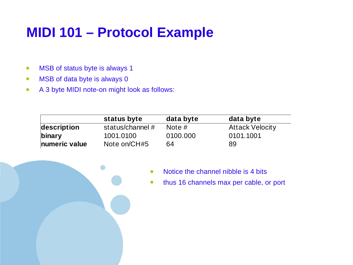# **MIDI 101 – Protocol Example**

- MSB of status byte is always 1
- MSB of data byte is always 0
- A 3 byte MIDI note-on might look as follows:

|               | status byte        | data byte | data byte              |
|---------------|--------------------|-----------|------------------------|
| description   | status/channel $#$ | Note $#$  | <b>Attack Velocity</b> |
| binary        | 1001.0100          | 0100.000  | 0101.1001              |
| numeric value | Note on/CH#5       | 64        | 89                     |

- Notice the channel nibble is 4 bits
- thus 16 channels max per cable, or port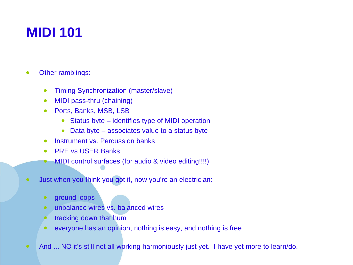# **MIDI 101**

- Other ramblings:
	- Timing Synchronization (master/slave)
	- MIDI pass-thru (chaining)
	- Ports, Banks, MSB, LSB
		- Status byte identifies type of MIDI operation
		- Data byte associates value to a status byte
	- Instrument vs. Percussion banks
	- PRE vs USER Banks
	- MIDI control surfaces (for audio & video editing!!!!)
- Just when you think you got it, now you're an electrician:
	- ground loops
	- unbalance wires vs. balanced wires
	- tracking down that hum
	- everyone has an opinion, nothing is easy, and nothing is free
- And ... NO it's still not all working harmoniously just yet. I have yet more to learn/do.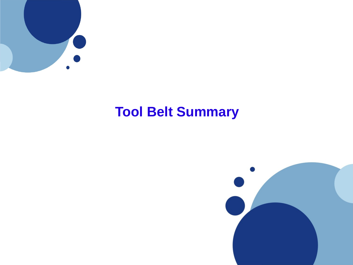

# **Tool Belt Summary**

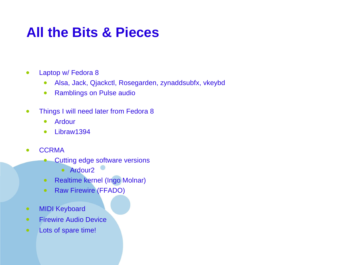# **All the Bits & Pieces**

- Laptop w/ Fedora 8
	- Alsa, Jack, Qjackctl, Rosegarden, zynaddsubfx, vkeybd
	- Ramblings on Pulse audio
- Things I will need later from Fedora 8
	- Ardour
	- Libraw1394
- CCRMA
	- Cutting edge software versions
		- Ardour2
	- Realtime kernel (Ingo Molnar)
	- Raw Firewire (FFADO)
- MIDI Keyboard
- Firewire Audio Device
- Lots of spare time!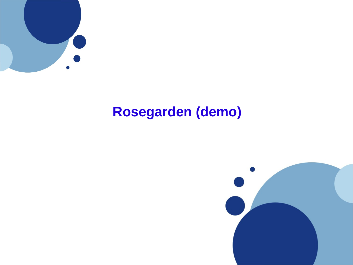

# **Rosegarden (demo)**

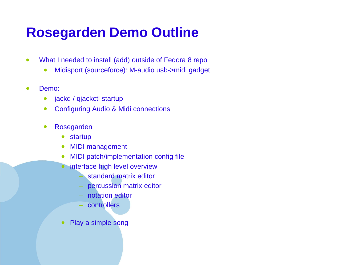# **Rosegarden Demo Outline**

- What I needed to install (add) outside of Fedora 8 repo
	- Midisport (sourceforce): M-audio usb->midi gadget
- Demo:
	- jackd / qjackctl startup
	- Configuring Audio & Midi connections
	- Rosegarden
		- startup
		- MIDI management
		- MIDI patch/implementation config file
		- interface high level overview
			- standard matrix editor
			- percussion matrix editor
			- notation editor
			- controllers
		- Play a simple song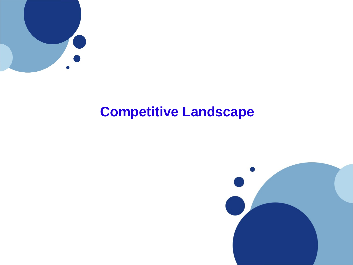

# **Competitive Landscape**

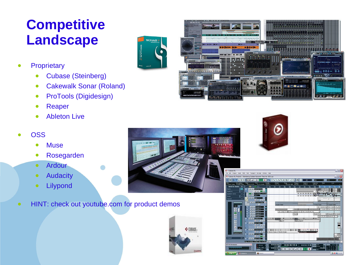# **Competitive Landscape**

- **Proprietary** 
	- Cubase (Steinberg)
	- Cakewalk Sonar (Roland)
	- ProTools (Digidesign)
	- Reaper
	- Ableton Live
- OSS
	- Muse
	- Rosegarden
	- Ardour
	- Audacity
	- Lilypond
- HINT: check out youtube.com for product demos







SONAR